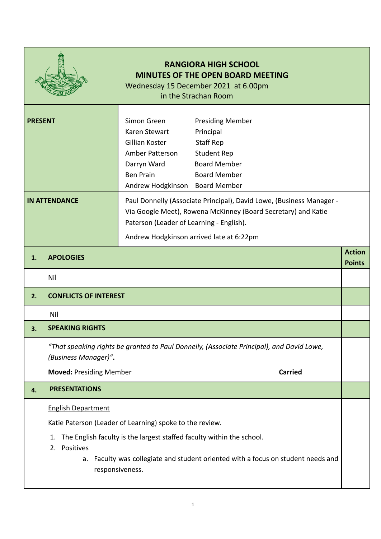|                      | <b>RANGIORA HIGH SCHOOL</b><br><b>MINUTES OF THE OPEN BOARD MEETING</b><br>Wednesday 15 December 2021 at 6.00pm<br>in the Strachan Room |                                                                                                                                                                                                                                                                        |  |  |
|----------------------|-----------------------------------------------------------------------------------------------------------------------------------------|------------------------------------------------------------------------------------------------------------------------------------------------------------------------------------------------------------------------------------------------------------------------|--|--|
| <b>PRESENT</b>       |                                                                                                                                         | Simon Green<br><b>Presiding Member</b><br>Karen Stewart<br>Principal<br>Gillian Koster<br><b>Staff Rep</b><br><b>Student Rep</b><br>Amber Patterson<br><b>Board Member</b><br>Darryn Ward<br><b>Ben Prain</b><br><b>Board Member</b><br>Andrew Hodgkinson Board Member |  |  |
| <b>IN ATTENDANCE</b> |                                                                                                                                         | Paul Donnelly (Associate Principal), David Lowe, (Business Manager -<br>Via Google Meet), Rowena McKinney (Board Secretary) and Katie<br>Paterson (Leader of Learning - English).<br>Andrew Hodgkinson arrived late at 6:22pm                                          |  |  |
| 1.                   | <b>Action</b><br><b>APOLOGIES</b><br><b>Points</b>                                                                                      |                                                                                                                                                                                                                                                                        |  |  |
|                      | Nil                                                                                                                                     |                                                                                                                                                                                                                                                                        |  |  |
| 2.                   | <b>CONFLICTS OF INTEREST</b>                                                                                                            |                                                                                                                                                                                                                                                                        |  |  |
|                      | Nil                                                                                                                                     |                                                                                                                                                                                                                                                                        |  |  |
| 2                    | <b>SPEAKING RIGHTS</b>                                                                                                                  |                                                                                                                                                                                                                                                                        |  |  |
|                      | "That speaking rights be granted to Paul Donnelly, (Associate Principal), and David Lowe,<br>(Business Manager)".                       |                                                                                                                                                                                                                                                                        |  |  |
|                      | <b>Moved: Presiding Member</b><br><b>Carried</b>                                                                                        |                                                                                                                                                                                                                                                                        |  |  |
| 4.                   | <b>PRESENTATIONS</b>                                                                                                                    |                                                                                                                                                                                                                                                                        |  |  |
|                      | <b>English Department</b>                                                                                                               |                                                                                                                                                                                                                                                                        |  |  |
|                      |                                                                                                                                         | Katie Paterson (Leader of Learning) spoke to the review.                                                                                                                                                                                                               |  |  |
|                      | The English faculty is the largest staffed faculty within the school.<br>1.<br>Positives<br>2.                                          |                                                                                                                                                                                                                                                                        |  |  |
|                      | a. Faculty was collegiate and student oriented with a focus on student needs and<br>responsiveness.                                     |                                                                                                                                                                                                                                                                        |  |  |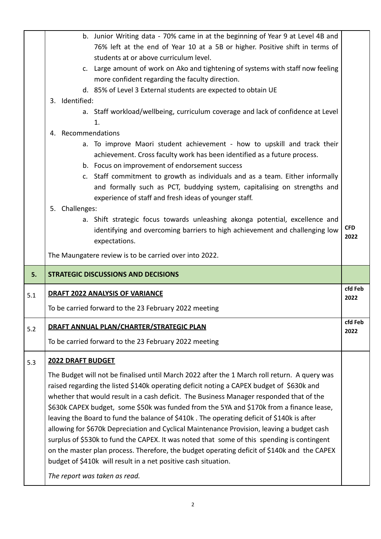|     | b. Junior Writing data - 70% came in at the beginning of Year 9 at Level 4B and                                                                                                                        |                    |  |  |
|-----|--------------------------------------------------------------------------------------------------------------------------------------------------------------------------------------------------------|--------------------|--|--|
|     | 76% left at the end of Year 10 at a 5B or higher. Positive shift in terms of                                                                                                                           |                    |  |  |
|     | students at or above curriculum level.                                                                                                                                                                 |                    |  |  |
|     | c. Large amount of work on Ako and tightening of systems with staff now feeling                                                                                                                        |                    |  |  |
|     | more confident regarding the faculty direction.                                                                                                                                                        |                    |  |  |
|     | d. 85% of Level 3 External students are expected to obtain UE                                                                                                                                          |                    |  |  |
|     | 3. Identified:                                                                                                                                                                                         |                    |  |  |
|     | a. Staff workload/wellbeing, curriculum coverage and lack of confidence at Level<br>1.                                                                                                                 |                    |  |  |
|     | 4. Recommendations                                                                                                                                                                                     |                    |  |  |
|     | a. To improve Maori student achievement - how to upskill and track their<br>achievement. Cross faculty work has been identified as a future process.<br>b. Focus on improvement of endorsement success |                    |  |  |
|     | c. Staff commitment to growth as individuals and as a team. Either informally                                                                                                                          |                    |  |  |
|     | and formally such as PCT, buddying system, capitalising on strengths and<br>experience of staff and fresh ideas of younger staff.                                                                      |                    |  |  |
|     | 5. Challenges:                                                                                                                                                                                         |                    |  |  |
|     | a. Shift strategic focus towards unleashing akonga potential, excellence and<br>identifying and overcoming barriers to high achievement and challenging low<br>expectations.                           | <b>CFD</b><br>2022 |  |  |
|     | The Maungatere review is to be carried over into 2022.                                                                                                                                                 |                    |  |  |
|     |                                                                                                                                                                                                        |                    |  |  |
| 5.  | <b>STRATEGIC DISCUSSIONS AND DECISIONS</b>                                                                                                                                                             |                    |  |  |
| 5.1 | <b>DRAFT 2022 ANALYSIS OF VARIANCE</b>                                                                                                                                                                 | cfd Feb<br>2022    |  |  |
|     | To be carried forward to the 23 February 2022 meeting                                                                                                                                                  |                    |  |  |
| 5.2 | DRAFT ANNUAL PLAN/CHARTER/STRATEGIC PLAN                                                                                                                                                               | cfd Feb<br>2022    |  |  |
|     | To be carried forward to the 23 February 2022 meeting                                                                                                                                                  |                    |  |  |
| 5.3 | <b>2022 DRAFT BUDGET</b>                                                                                                                                                                               |                    |  |  |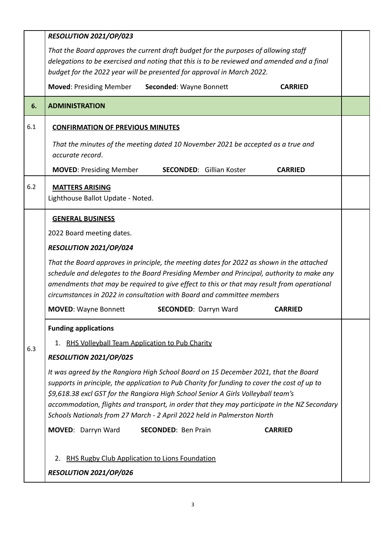|     | RESOLUTION 2021/OP/023                                                                                                                                                                                                                                                                                                                                                                                                                              |  |  |  |  |
|-----|-----------------------------------------------------------------------------------------------------------------------------------------------------------------------------------------------------------------------------------------------------------------------------------------------------------------------------------------------------------------------------------------------------------------------------------------------------|--|--|--|--|
|     | That the Board approves the current draft budget for the purposes of allowing staff                                                                                                                                                                                                                                                                                                                                                                 |  |  |  |  |
|     | delegations to be exercised and noting that this is to be reviewed and amended and a final                                                                                                                                                                                                                                                                                                                                                          |  |  |  |  |
|     | budget for the 2022 year will be presented for approval in March 2022.                                                                                                                                                                                                                                                                                                                                                                              |  |  |  |  |
|     | <b>Moved: Presiding Member</b><br>Seconded: Wayne Bonnett<br><b>CARRIED</b>                                                                                                                                                                                                                                                                                                                                                                         |  |  |  |  |
| 6.  | <b>ADMINISTRATION</b>                                                                                                                                                                                                                                                                                                                                                                                                                               |  |  |  |  |
| 6.1 | <b>CONFIRMATION OF PREVIOUS MINUTES</b>                                                                                                                                                                                                                                                                                                                                                                                                             |  |  |  |  |
|     | That the minutes of the meeting dated 10 November 2021 be accepted as a true and<br>accurate record.                                                                                                                                                                                                                                                                                                                                                |  |  |  |  |
|     | <b>MOVED: Presiding Member</b><br><b>SECONDED:</b> Gillian Koster<br><b>CARRIED</b>                                                                                                                                                                                                                                                                                                                                                                 |  |  |  |  |
| 6.2 | <b>MATTERS ARISING</b>                                                                                                                                                                                                                                                                                                                                                                                                                              |  |  |  |  |
|     | Lighthouse Ballot Update - Noted.                                                                                                                                                                                                                                                                                                                                                                                                                   |  |  |  |  |
|     | <b>GENERAL BUSINESS</b>                                                                                                                                                                                                                                                                                                                                                                                                                             |  |  |  |  |
|     | 2022 Board meeting dates.                                                                                                                                                                                                                                                                                                                                                                                                                           |  |  |  |  |
|     | RESOLUTION 2021/OP/024                                                                                                                                                                                                                                                                                                                                                                                                                              |  |  |  |  |
|     | That the Board approves in principle, the meeting dates for 2022 as shown in the attached<br>schedule and delegates to the Board Presiding Member and Principal, authority to make any<br>amendments that may be required to give effect to this or that may result from operational<br>circumstances in 2022 in consultation with Board and committee members                                                                                      |  |  |  |  |
|     | <b>MOVED: Wayne Bonnett</b><br><b>SECONDED: Darryn Ward</b><br><b>CARRIED</b>                                                                                                                                                                                                                                                                                                                                                                       |  |  |  |  |
|     | <b>Funding applications</b>                                                                                                                                                                                                                                                                                                                                                                                                                         |  |  |  |  |
|     | 1. RHS Volleyball Team Application to Pub Charity                                                                                                                                                                                                                                                                                                                                                                                                   |  |  |  |  |
| 6.3 | RESOLUTION 2021/OP/025                                                                                                                                                                                                                                                                                                                                                                                                                              |  |  |  |  |
|     | It was agreed by the Rangiora High School Board on 15 December 2021, that the Board<br>supports in principle, the application to Pub Charity for funding to cover the cost of up to<br>\$9,618.38 excl GST for the Rangiora High School Senior A Girls Volleyball team's<br>accommodation, flights and transport, in order that they may participate in the NZ Secondary<br>Schools Nationals from 27 March - 2 April 2022 held in Palmerston North |  |  |  |  |
|     | MOVED: Darryn Ward<br><b>SECONDED: Ben Prain</b><br><b>CARRIED</b>                                                                                                                                                                                                                                                                                                                                                                                  |  |  |  |  |
|     | RHS Rugby Club Application to Lions Foundation<br>2.<br>RESOLUTION 2021/OP/026                                                                                                                                                                                                                                                                                                                                                                      |  |  |  |  |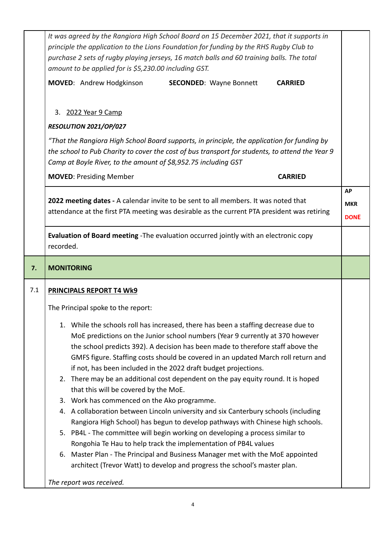|     | It was agreed by the Rangiora High School Board on 15 December 2021, that it supports in<br>principle the application to the Lions Foundation for funding by the RHS Rugby Club to<br>purchase 2 sets of rugby playing jerseys, 16 match balls and 60 training balls. The total<br>amount to be applied for is \$5,230.00 including GST.<br><b>MOVED:</b> Andrew Hodgkinson<br><b>SECONDED:</b> Wayne Bonnett<br><b>CARRIED</b>                                                                                                                                                                                                                                                                                                                                                                                                                                                                                          |                                        |  |  |
|-----|--------------------------------------------------------------------------------------------------------------------------------------------------------------------------------------------------------------------------------------------------------------------------------------------------------------------------------------------------------------------------------------------------------------------------------------------------------------------------------------------------------------------------------------------------------------------------------------------------------------------------------------------------------------------------------------------------------------------------------------------------------------------------------------------------------------------------------------------------------------------------------------------------------------------------|----------------------------------------|--|--|
|     | 3. 2022 Year 9 Camp                                                                                                                                                                                                                                                                                                                                                                                                                                                                                                                                                                                                                                                                                                                                                                                                                                                                                                      |                                        |  |  |
|     | RESOLUTION 2021/OP/027<br>"That the Rangiora High School Board supports, in principle, the application for funding by<br>the school to Pub Charity to cover the cost of bus transport for students, to attend the Year 9<br>Camp at Boyle River, to the amount of \$8,952.75 including GST                                                                                                                                                                                                                                                                                                                                                                                                                                                                                                                                                                                                                               |                                        |  |  |
|     | <b>MOVED: Presiding Member</b><br><b>CARRIED</b>                                                                                                                                                                                                                                                                                                                                                                                                                                                                                                                                                                                                                                                                                                                                                                                                                                                                         |                                        |  |  |
|     | 2022 meeting dates - A calendar invite to be sent to all members. It was noted that<br>attendance at the first PTA meeting was desirable as the current PTA president was retiring                                                                                                                                                                                                                                                                                                                                                                                                                                                                                                                                                                                                                                                                                                                                       | <b>AP</b><br><b>MKR</b><br><b>DONE</b> |  |  |
|     | Evaluation of Board meeting - The evaluation occurred jointly with an electronic copy<br>recorded.                                                                                                                                                                                                                                                                                                                                                                                                                                                                                                                                                                                                                                                                                                                                                                                                                       |                                        |  |  |
| 7.  | <b>MONITORING</b>                                                                                                                                                                                                                                                                                                                                                                                                                                                                                                                                                                                                                                                                                                                                                                                                                                                                                                        |                                        |  |  |
| 7.1 | PRINCIPALS REPORT T4 Wk9                                                                                                                                                                                                                                                                                                                                                                                                                                                                                                                                                                                                                                                                                                                                                                                                                                                                                                 |                                        |  |  |
|     | The Principal spoke to the report:                                                                                                                                                                                                                                                                                                                                                                                                                                                                                                                                                                                                                                                                                                                                                                                                                                                                                       |                                        |  |  |
|     | 1. While the schools roll has increased, there has been a staffing decrease due to<br>MoE predictions on the Junior school numbers (Year 9 currently at 370 however<br>the school predicts 392). A decision has been made to therefore staff above the<br>GMFS figure. Staffing costs should be covered in an updated March roll return and<br>if not, has been included in the 2022 draft budget projections.<br>2. There may be an additional cost dependent on the pay equity round. It is hoped<br>that this will be covered by the MoE.<br>3. Work has commenced on the Ako programme.<br>4. A collaboration between Lincoln university and six Canterbury schools (including<br>Rangiora High School) has begun to develop pathways with Chinese high schools.<br>5. PB4L - The committee will begin working on developing a process similar to<br>Rongohia Te Hau to help track the implementation of PB4L values |                                        |  |  |
|     | 6. Master Plan - The Principal and Business Manager met with the MoE appointed<br>architect (Trevor Watt) to develop and progress the school's master plan.                                                                                                                                                                                                                                                                                                                                                                                                                                                                                                                                                                                                                                                                                                                                                              |                                        |  |  |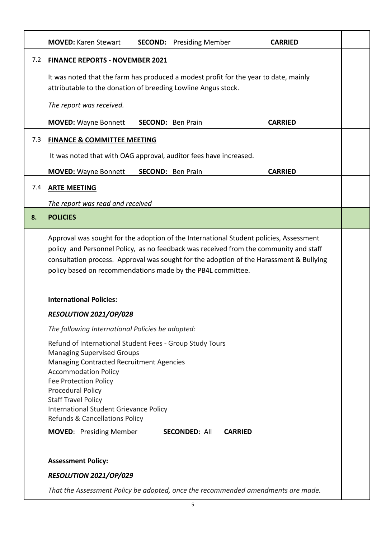|     | <b>MOVED: Karen Stewart</b><br><b>SECOND:</b> Presiding Member<br><b>CARRIED</b>                                                                                                                                                                                                                                                                                            |  |  |  |  |
|-----|-----------------------------------------------------------------------------------------------------------------------------------------------------------------------------------------------------------------------------------------------------------------------------------------------------------------------------------------------------------------------------|--|--|--|--|
| 7.2 | <b>FINANCE REPORTS - NOVEMBER 2021</b>                                                                                                                                                                                                                                                                                                                                      |  |  |  |  |
|     | It was noted that the farm has produced a modest profit for the year to date, mainly<br>attributable to the donation of breeding Lowline Angus stock.                                                                                                                                                                                                                       |  |  |  |  |
|     | The report was received.                                                                                                                                                                                                                                                                                                                                                    |  |  |  |  |
|     | <b>MOVED: Wayne Bonnett</b><br><b>SECOND:</b> Ben Prain<br><b>CARRIED</b>                                                                                                                                                                                                                                                                                                   |  |  |  |  |
| 7.3 | <b>FINANCE &amp; COMMITTEE MEETING</b>                                                                                                                                                                                                                                                                                                                                      |  |  |  |  |
|     | It was noted that with OAG approval, auditor fees have increased.                                                                                                                                                                                                                                                                                                           |  |  |  |  |
|     | <b>MOVED: Wayne Bonnett</b><br><b>CARRIED</b><br><b>SECOND:</b> Ben Prain                                                                                                                                                                                                                                                                                                   |  |  |  |  |
| 7.4 | <b>ARTE MEETING</b>                                                                                                                                                                                                                                                                                                                                                         |  |  |  |  |
|     | The report was read and received                                                                                                                                                                                                                                                                                                                                            |  |  |  |  |
| 8.  | <b>POLICIES</b>                                                                                                                                                                                                                                                                                                                                                             |  |  |  |  |
|     | Approval was sought for the adoption of the International Student policies, Assessment<br>policy and Personnel Policy, as no feedback was received from the community and staff<br>consultation process. Approval was sought for the adoption of the Harassment & Bullying<br>policy based on recommendations made by the PB4L committee.<br><b>International Policies:</b> |  |  |  |  |
|     | RESOLUTION 2021/OP/028                                                                                                                                                                                                                                                                                                                                                      |  |  |  |  |
|     | The following International Policies be adopted:                                                                                                                                                                                                                                                                                                                            |  |  |  |  |
|     | Refund of International Student Fees - Group Study Tours<br><b>Managing Supervised Groups</b><br>Managing Contracted Recruitment Agencies<br><b>Accommodation Policy</b><br>Fee Protection Policy<br>Procedural Policy<br><b>Staff Travel Policy</b><br>International Student Grievance Policy<br>Refunds & Cancellations Policy                                            |  |  |  |  |
|     | <b>MOVED:</b> Presiding Member<br><b>SECONDED: All</b><br><b>CARRIED</b>                                                                                                                                                                                                                                                                                                    |  |  |  |  |
|     | <b>Assessment Policy:</b>                                                                                                                                                                                                                                                                                                                                                   |  |  |  |  |
|     | RESOLUTION 2021/OP/029                                                                                                                                                                                                                                                                                                                                                      |  |  |  |  |
|     | That the Assessment Policy be adopted, once the recommended amendments are made.                                                                                                                                                                                                                                                                                            |  |  |  |  |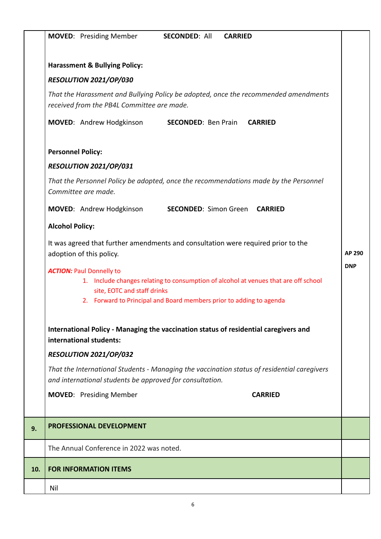|     | <b>MOVED:</b> Presiding Member<br><b>SECONDED: All</b><br><b>CARRIED</b>                                                                                                                                                     |            |  |  |
|-----|------------------------------------------------------------------------------------------------------------------------------------------------------------------------------------------------------------------------------|------------|--|--|
|     | <b>Harassment &amp; Bullying Policy:</b>                                                                                                                                                                                     |            |  |  |
|     | RESOLUTION 2021/OP/030                                                                                                                                                                                                       |            |  |  |
|     | That the Harassment and Bullying Policy be adopted, once the recommended amendments<br>received from the PB4L Committee are made.                                                                                            |            |  |  |
|     | MOVED: Andrew Hodgkinson<br><b>SECONDED: Ben Prain</b><br><b>CARRIED</b>                                                                                                                                                     |            |  |  |
|     | <b>Personnel Policy:</b>                                                                                                                                                                                                     |            |  |  |
|     | RESOLUTION 2021/OP/031                                                                                                                                                                                                       |            |  |  |
|     | That the Personnel Policy be adopted, once the recommendations made by the Personnel<br>Committee are made.                                                                                                                  |            |  |  |
|     | MOVED: Andrew Hodgkinson<br><b>SECONDED: Simon Green CARRIED</b>                                                                                                                                                             |            |  |  |
|     | <b>Alcohol Policy:</b>                                                                                                                                                                                                       |            |  |  |
|     | It was agreed that further amendments and consultation were required prior to the<br>AP 290<br>adoption of this policy.                                                                                                      |            |  |  |
|     | <b>ACTION: Paul Donnelly to</b><br>1. Include changes relating to consumption of alcohol at venues that are off school<br>site, EOTC and staff drinks<br>2. Forward to Principal and Board members prior to adding to agenda | <b>DNP</b> |  |  |
|     | International Policy - Managing the vaccination status of residential caregivers and<br>international students:                                                                                                              |            |  |  |
|     | RESOLUTION 2021/OP/032                                                                                                                                                                                                       |            |  |  |
|     | That the International Students - Managing the vaccination status of residential caregivers<br>and international students be approved for consultation.                                                                      |            |  |  |
|     | <b>MOVED:</b> Presiding Member<br><b>CARRIED</b>                                                                                                                                                                             |            |  |  |
| 9.  | PROFESSIONAL DEVELOPMENT                                                                                                                                                                                                     |            |  |  |
|     | The Annual Conference in 2022 was noted.                                                                                                                                                                                     |            |  |  |
| 10. | <b>FOR INFORMATION ITEMS</b>                                                                                                                                                                                                 |            |  |  |
|     | Nil                                                                                                                                                                                                                          |            |  |  |
|     |                                                                                                                                                                                                                              |            |  |  |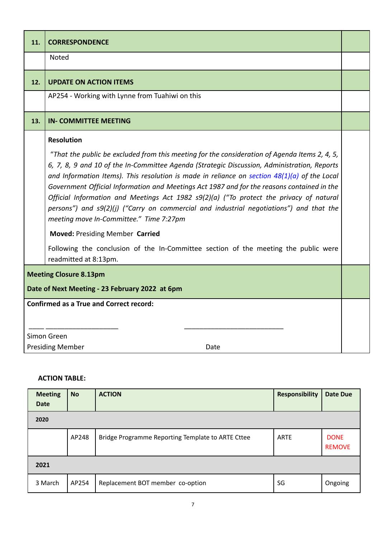| 11.                                                                                                                               | <b>CORRESPONDENCE</b>                                                                                                                                                                                                                                                                                                                                                                                                                                                                                                                                                                                                                                                                                                                                                                                        |  |
|-----------------------------------------------------------------------------------------------------------------------------------|--------------------------------------------------------------------------------------------------------------------------------------------------------------------------------------------------------------------------------------------------------------------------------------------------------------------------------------------------------------------------------------------------------------------------------------------------------------------------------------------------------------------------------------------------------------------------------------------------------------------------------------------------------------------------------------------------------------------------------------------------------------------------------------------------------------|--|
|                                                                                                                                   | Noted                                                                                                                                                                                                                                                                                                                                                                                                                                                                                                                                                                                                                                                                                                                                                                                                        |  |
| 12.                                                                                                                               | <b>UPDATE ON ACTION ITEMS</b>                                                                                                                                                                                                                                                                                                                                                                                                                                                                                                                                                                                                                                                                                                                                                                                |  |
|                                                                                                                                   | AP254 - Working with Lynne from Tuahiwi on this                                                                                                                                                                                                                                                                                                                                                                                                                                                                                                                                                                                                                                                                                                                                                              |  |
| 13.                                                                                                                               | <b>IN- COMMITTEE MEETING</b>                                                                                                                                                                                                                                                                                                                                                                                                                                                                                                                                                                                                                                                                                                                                                                                 |  |
|                                                                                                                                   | <b>Resolution</b><br>"That the public be excluded from this meeting for the consideration of Agenda Items 2, 4, 5,<br>6, 7, 8, 9 and 10 of the In-Committee Agenda (Strategic Discussion, Administration, Reports<br>and Information Items). This resolution is made in reliance on section $48(1)(a)$ of the Local<br>Government Official Information and Meetings Act 1987 and for the reasons contained in the<br>Official Information and Meetings Act 1982 s9(2)(a) ("To protect the privacy of natural<br>persons") and s9(2)(j) ("Carry on commercial and industrial negotiations") and that the<br>meeting move In-Committee." Time 7:27pm<br><b>Moved: Presiding Member Carried</b><br>Following the conclusion of the In-Committee section of the meeting the public were<br>readmitted at 8:13pm. |  |
| <b>Meeting Closure 8.13pm</b><br>Date of Next Meeting - 23 February 2022 at 6pm<br><b>Confirmed as a True and Correct record:</b> |                                                                                                                                                                                                                                                                                                                                                                                                                                                                                                                                                                                                                                                                                                                                                                                                              |  |
|                                                                                                                                   | Simon Green<br><b>Presiding Member</b><br>Date                                                                                                                                                                                                                                                                                                                                                                                                                                                                                                                                                                                                                                                                                                                                                               |  |

## **ACTION TABLE:**

| <b>Meeting</b><br><b>Date</b> | <b>No</b> | <b>ACTION</b>                                     | <b>Responsibility</b> | <b>Date Due</b>              |  |  |
|-------------------------------|-----------|---------------------------------------------------|-----------------------|------------------------------|--|--|
| 2020                          |           |                                                   |                       |                              |  |  |
|                               | AP248     | Bridge Programme Reporting Template to ARTE Cttee | ARTE                  | <b>DONE</b><br><b>REMOVE</b> |  |  |
| 2021                          |           |                                                   |                       |                              |  |  |
| 3 March                       | AP254     | Replacement BOT member co-option                  | SG                    | Ongoing                      |  |  |